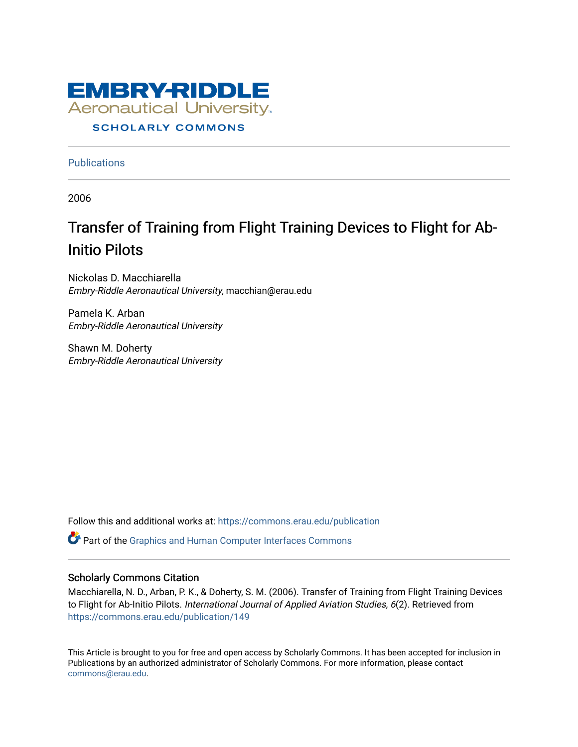

**Publications** 

2006

# Transfer of Training from Flight Training Devices to Flight for Ab-Initio Pilots

Nickolas D. Macchiarella Embry-Riddle Aeronautical University, macchian@erau.edu

Pamela K. Arban Embry-Riddle Aeronautical University

Shawn M. Doherty Embry-Riddle Aeronautical University

Follow this and additional works at: [https://commons.erau.edu/publication](https://commons.erau.edu/publication?utm_source=commons.erau.edu%2Fpublication%2F149&utm_medium=PDF&utm_campaign=PDFCoverPages) 

Part of the [Graphics and Human Computer Interfaces Commons](http://network.bepress.com/hgg/discipline/146?utm_source=commons.erau.edu%2Fpublication%2F149&utm_medium=PDF&utm_campaign=PDFCoverPages) 

### Scholarly Commons Citation

Macchiarella, N. D., Arban, P. K., & Doherty, S. M. (2006). Transfer of Training from Flight Training Devices to Flight for Ab-Initio Pilots. International Journal of Applied Aviation Studies, 6(2). Retrieved from [https://commons.erau.edu/publication/149](https://commons.erau.edu/publication/149?utm_source=commons.erau.edu%2Fpublication%2F149&utm_medium=PDF&utm_campaign=PDFCoverPages) 

This Article is brought to you for free and open access by Scholarly Commons. It has been accepted for inclusion in Publications by an authorized administrator of Scholarly Commons. For more information, please contact [commons@erau.edu](mailto:commons@erau.edu).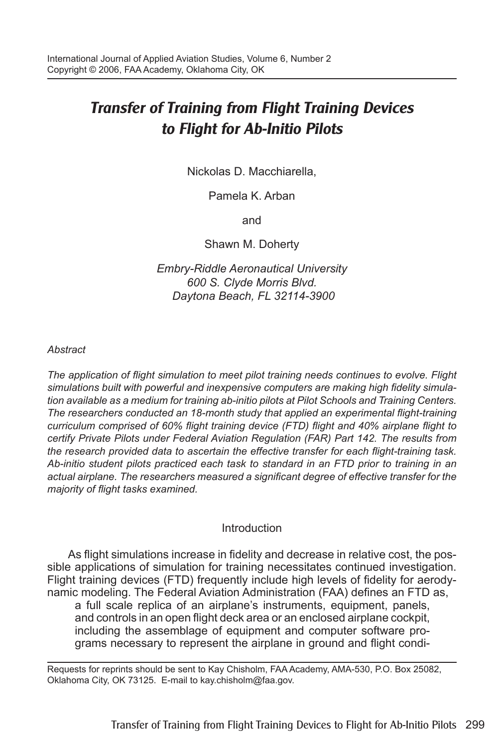## *Transfer of Training from Flight Training Devices to Flight for Ab-Initio Pilots*

Nickolas D. Macchiarella,

Pamela K. Arban

and

Shawn M. Doherty

*Embry-Riddle Aeronautical University 600 S. Clyde Morris Blvd. Daytona Beach, FL 32114-3900*

#### *Abstract*

*The application of flight simulation to meet pilot training needs continues to evolve. Flight simulations built with powerful and inexpensive computers are making high fidelity simulation available as a medium for training ab-initio pilots at Pilot Schools and Training Centers. The researchers conducted an 18-month study that applied an experimental flight-training curriculum comprised of 60% flight training device (FTD) flight and 40% airplane flight to certify Private Pilots under Federal Aviation Regulation (FAR) Part 142. The results from the research provided data to ascertain the effective transfer for each flight-training task. Ab-initio student pilots practiced each task to standard in an FTD prior to training in an actual airplane. The researchers measured a significant degree of effective transfer for the majority of flight tasks examined.* 

#### Introduction

As flight simulations increase in fidelity and decrease in relative cost, the possible applications of simulation for training necessitates continued investigation. Flight training devices (FTD) frequently include high levels of fidelity for aerodynamic modeling. The Federal Aviation Administration (FAA) defines an FTD as, a full scale replica of an airplane's instruments, equipment, panels,

and controls in an open flight deck area or an enclosed airplane cockpit, including the assemblage of equipment and computer software programs necessary to represent the airplane in ground and flight condi-

Requests for reprints should be sent to Kay Chisholm, FAA Academy, AMA-530, P.O. Box 25082, Oklahoma City, OK 73125. E-mail to kay.chisholm@faa.gov.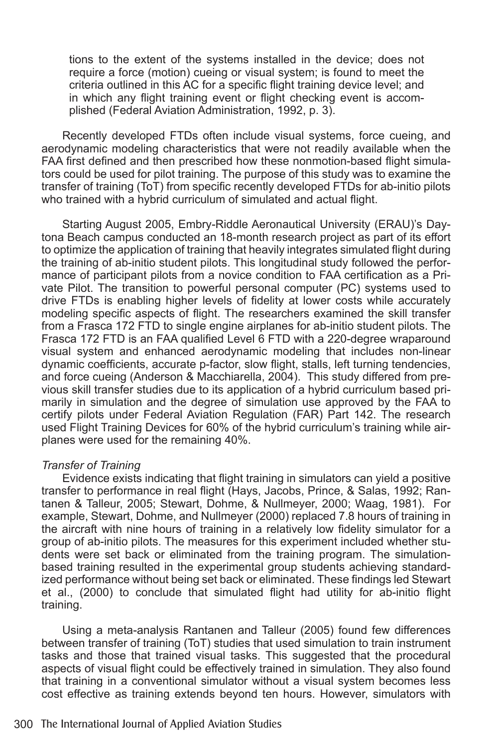tions to the extent of the systems installed in the device; does not require a force (motion) cueing or visual system; is found to meet the criteria outlined in this AC for a specific flight training device level; and in which any flight training event or flight checking event is accomplished (Federal Aviation Administration, 1992, p. 3).

Recently developed FTDs often include visual systems, force cueing, and aerodynamic modeling characteristics that were not readily available when the FAA first defined and then prescribed how these nonmotion-based flight simulators could be used for pilot training. The purpose of this study was to examine the transfer of training (ToT) from specific recently developed FTDs for ab-initio pilots who trained with a hybrid curriculum of simulated and actual flight.

Starting August 2005, Embry-Riddle Aeronautical University (ERAU)'s Daytona Beach campus conducted an 18-month research project as part of its effort to optimize the application of training that heavily integrates simulated flight during the training of ab-initio student pilots. This longitudinal study followed the performance of participant pilots from a novice condition to FAA certification as a Private Pilot. The transition to powerful personal computer (PC) systems used to drive FTDs is enabling higher levels of fidelity at lower costs while accurately modeling specific aspects of flight. The researchers examined the skill transfer from a Frasca 172 FTD to single engine airplanes for ab-initio student pilots. The Frasca 172 FTD is an FAA qualified Level 6 FTD with a 220-degree wraparound visual system and enhanced aerodynamic modeling that includes non-linear dynamic coefficients, accurate p-factor, slow flight, stalls, left turning tendencies, and force cueing (Anderson & Macchiarella, 2004). This study differed from previous skill transfer studies due to its application of a hybrid curriculum based primarily in simulation and the degree of simulation use approved by the FAA to certify pilots under Federal Aviation Regulation (FAR) Part 142. The research used Flight Training Devices for 60% of the hybrid curriculum's training while airplanes were used for the remaining 40%.

#### *Transfer of Training*

Evidence exists indicating that flight training in simulators can yield a positive transfer to performance in real flight (Hays, Jacobs, Prince, & Salas, 1992; Rantanen & Talleur, 2005; Stewart, Dohme, & Nullmeyer, 2000; Waag, 1981). For example, Stewart, Dohme, and Nullmeyer (2000) replaced 7.8 hours of training in the aircraft with nine hours of training in a relatively low fidelity simulator for a group of ab-initio pilots. The measures for this experiment included whether students were set back or eliminated from the training program. The simulationbased training resulted in the experimental group students achieving standardized performance without being set back or eliminated. These findings led Stewart et al., (2000) to conclude that simulated flight had utility for ab-initio flight training.

Using a meta-analysis Rantanen and Talleur (2005) found few differences between transfer of training (ToT) studies that used simulation to train instrument tasks and those that trained visual tasks. This suggested that the procedural aspects of visual flight could be effectively trained in simulation. They also found that training in a conventional simulator without a visual system becomes less cost effective as training extends beyond ten hours. However, simulators with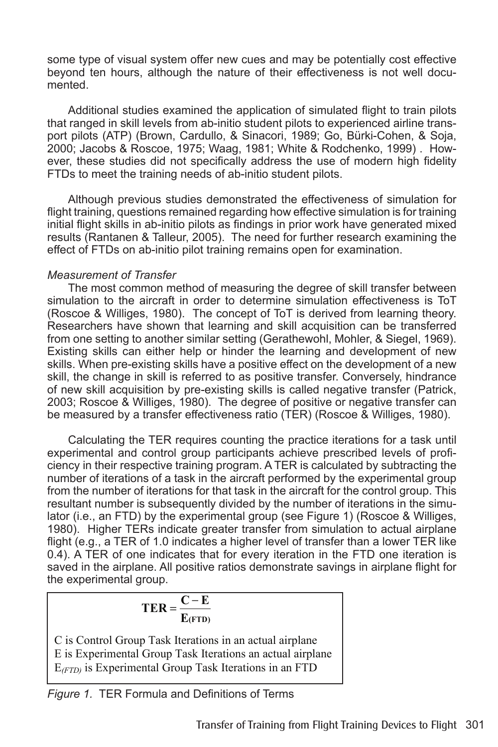some type of visual system offer new cues and may be potentially cost effective beyond ten hours, although the nature of their effectiveness is not well documented.

Additional studies examined the application of simulated flight to train pilots that ranged in skill levels from ab-initio student pilots to experienced airline transport pilots (ATP) (Brown, Cardullo, & Sinacori, 1989; Go, Bürki-Cohen, & Soja, 2000; Jacobs & Roscoe, 1975; Waag, 1981; White & Rodchenko, 1999) . However, these studies did not specifically address the use of modern high fidelity FTDs to meet the training needs of ab-initio student pilots.

Although previous studies demonstrated the effectiveness of simulation for flight training, questions remained regarding how effective simulation is for training initial flight skills in ab-initio pilots as findings in prior work have generated mixed results (Rantanen & Talleur, 2005). The need for further research examining the effect of FTDs on ab-initio pilot training remains open for examination.

#### *Measurement of Transfer*

The most common method of measuring the degree of skill transfer between simulation to the aircraft in order to determine simulation effectiveness is ToT (Roscoe & Williges, 1980). The concept of ToT is derived from learning theory. Researchers have shown that learning and skill acquisition can be transferred from one setting to another similar setting (Gerathewohl, Mohler, & Siegel, 1969). Existing skills can either help or hinder the learning and development of new skills. When pre-existing skills have a positive effect on the development of a new skill, the change in skill is referred to as positive transfer. Conversely, hindrance of new skill acquisition by pre-existing skills is called negative transfer (Patrick, 2003; Roscoe & Williges, 1980). The degree of positive or negative transfer can be measured by a transfer effectiveness ratio (TER) (Roscoe & Williges, 1980).

Calculating the TER requires counting the practice iterations for a task until experimental and control group participants achieve prescribed levels of proficiency in their respective training program. A TER is calculated by subtracting the number of iterations of a task in the aircraft performed by the experimental group from the number of iterations for that task in the aircraft for the control group. This resultant number is subsequently divided by the number of iterations in the simulator (i.e., an FTD) by the experimental group (see Figure 1) (Roscoe & Williges, 1980). Higher TERs indicate greater transfer from simulation to actual airplane flight (e.g., a TER of 1.0 indicates a higher level of transfer than a lower TER like 0.4). A TER of one indicates that for every iteration in the FTD one iteration is saved in the airplane. All positive ratios demonstrate savings in airplane flight for the experimental group.

$$
TER = \frac{C - E}{E_{(FTD)}}
$$

C is Control Group Task Iterations in an actual airplane E is Experimental Group Task Iterations an actual airplane  $E_{(FTD)}$  is Experimental Group Task Iterations in an FTD

*Figure 1.* TER Formula and Definitions of Terms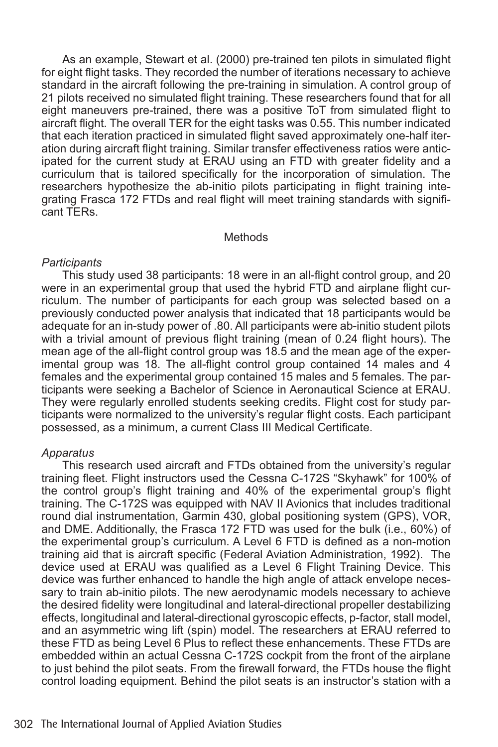As an example, Stewart et al. (2000) pre-trained ten pilots in simulated flight for eight flight tasks. They recorded the number of iterations necessary to achieve standard in the aircraft following the pre-training in simulation. A control group of 21 pilots received no simulated flight training. These researchers found that for all eight maneuvers pre-trained, there was a positive ToT from simulated flight to aircraft flight. The overall TER for the eight tasks was 0.55. This number indicated that each iteration practiced in simulated flight saved approximately one-half iteration during aircraft flight training. Similar transfer effectiveness ratios were anticipated for the current study at ERAU using an FTD with greater fidelity and a curriculum that is tailored specifically for the incorporation of simulation. The researchers hypothesize the ab-initio pilots participating in flight training integrating Frasca 172 FTDs and real flight will meet training standards with significant TERs.

#### **Methods**

#### *Participants*

This study used 38 participants: 18 were in an all-flight control group, and 20 were in an experimental group that used the hybrid FTD and airplane flight curriculum. The number of participants for each group was selected based on a previously conducted power analysis that indicated that 18 participants would be adequate for an in-study power of .80. All participants were ab-initio student pilots with a trivial amount of previous flight training (mean of 0.24 flight hours). The mean age of the all-flight control group was 18.5 and the mean age of the experimental group was 18. The all-flight control group contained 14 males and 4 females and the experimental group contained 15 males and 5 females. The participants were seeking a Bachelor of Science in Aeronautical Science at ERAU. They were regularly enrolled students seeking credits. Flight cost for study participants were normalized to the university's regular flight costs. Each participant possessed, as a minimum, a current Class III Medical Certificate.

#### *Apparatus*

This research used aircraft and FTDs obtained from the university's regular training fleet. Flight instructors used the Cessna C-172S "Skyhawk" for 100% of the control group's flight training and 40% of the experimental group's flight training. The C-172S was equipped with NAV II Avionics that includes traditional round dial instrumentation, Garmin 430, global positioning system (GPS), VOR, and DME. Additionally, the Frasca 172 FTD was used for the bulk (i.e., 60%) of the experimental group's curriculum. A Level 6 FTD is defined as a non-motion training aid that is aircraft specific (Federal Aviation Administration, 1992). The device used at ERAU was qualified as a Level 6 Flight Training Device. This device was further enhanced to handle the high angle of attack envelope necessary to train ab-initio pilots. The new aerodynamic models necessary to achieve the desired fidelity were longitudinal and lateral-directional propeller destabilizing effects, longitudinal and lateral-directional gyroscopic effects, p-factor, stall model, and an asymmetric wing lift (spin) model. The researchers at ERAU referred to these FTD as being Level 6 Plus to reflect these enhancements. These FTDs are embedded within an actual Cessna C-172S cockpit from the front of the airplane to just behind the pilot seats. From the firewall forward, the FTDs house the flight control loading equipment. Behind the pilot seats is an instructor's station with a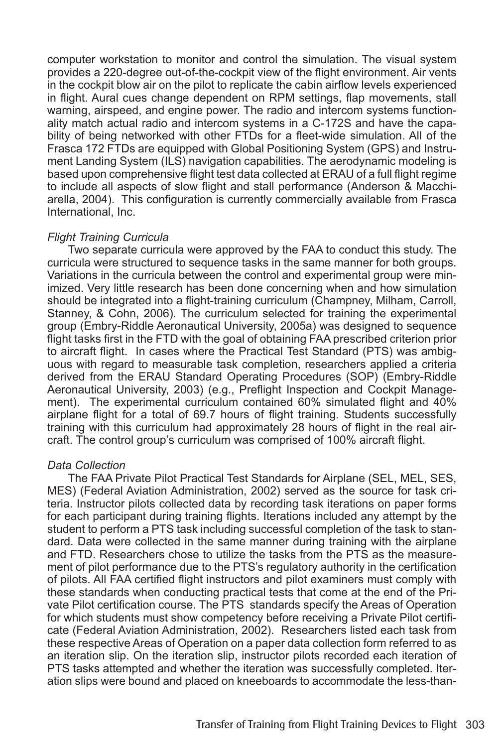computer workstation to monitor and control the simulation. The visual system provides a 220-degree out-of-the-cockpit view of the flight environment. Air vents in the cockpit blow air on the pilot to replicate the cabin airflow levels experienced in flight. Aural cues change dependent on RPM settings, flap movements, stall warning, airspeed, and engine power. The radio and intercom systems functionality match actual radio and intercom systems in a C-172S and have the capability of being networked with other FTDs for a fleet-wide simulation. All of the Frasca 172 FTDs are equipped with Global Positioning System (GPS) and Instrument Landing System (ILS) navigation capabilities. The aerodynamic modeling is based upon comprehensive flight test data collected at ERAU of a full flight regime to include all aspects of slow flight and stall performance (Anderson & Macchiarella, 2004). This configuration is currently commercially available from Frasca International, Inc.

#### *Flight Training Curricula*

Two separate curricula were approved by the FAA to conduct this study. The curricula were structured to sequence tasks in the same manner for both groups. Variations in the curricula between the control and experimental group were minimized. Very little research has been done concerning when and how simulation should be integrated into a flight-training curriculum (Champney, Milham, Carroll, Stanney, & Cohn, 2006). The curriculum selected for training the experimental group (Embry-Riddle Aeronautical University, 2005a) was designed to sequence flight tasks first in the FTD with the goal of obtaining FAA prescribed criterion prior to aircraft flight. In cases where the Practical Test Standard (PTS) was ambiguous with regard to measurable task completion, researchers applied a criteria derived from the ERAU Standard Operating Procedures (SOP) (Embry-Riddle Aeronautical University, 2003) (e.g., Preflight Inspection and Cockpit Management). The experimental curriculum contained 60% simulated flight and 40% airplane flight for a total of 69.7 hours of flight training. Students successfully training with this curriculum had approximately 28 hours of flight in the real aircraft. The control group's curriculum was comprised of 100% aircraft flight.

#### *Data Collection*

The FAA Private Pilot Practical Test Standards for Airplane (SEL, MEL, SES, MES) (Federal Aviation Administration, 2002) served as the source for task criteria. Instructor pilots collected data by recording task iterations on paper forms for each participant during training flights. Iterations included any attempt by the student to perform a PTS task including successful completion of the task to standard. Data were collected in the same manner during training with the airplane and FTD. Researchers chose to utilize the tasks from the PTS as the measurement of pilot performance due to the PTS's regulatory authority in the certification of pilots. All FAA certified flight instructors and pilot examiners must comply with these standards when conducting practical tests that come at the end of the Private Pilot certification course. The PTS standards specify the Areas of Operation for which students must show competency before receiving a Private Pilot certificate (Federal Aviation Administration, 2002). Researchers listed each task from these respective Areas of Operation on a paper data collection form referred to as an iteration slip. On the iteration slip, instructor pilots recorded each iteration of PTS tasks attempted and whether the iteration was successfully completed. Iteration slips were bound and placed on kneeboards to accommodate the less-than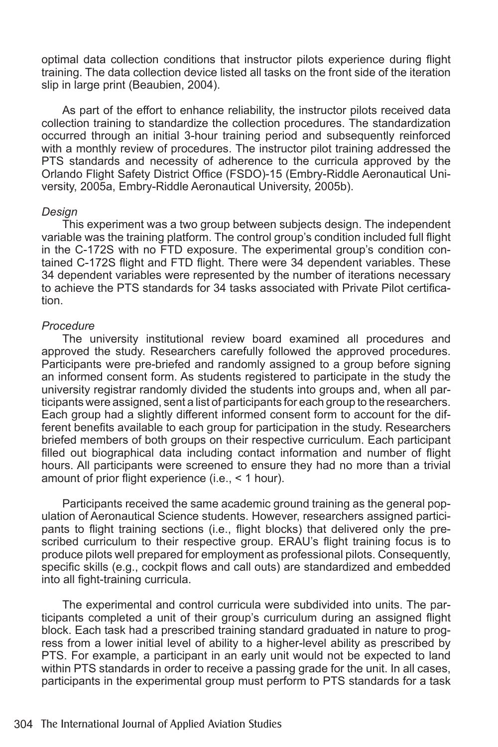optimal data collection conditions that instructor pilots experience during flight training. The data collection device listed all tasks on the front side of the iteration slip in large print (Beaubien, 2004).

As part of the effort to enhance reliability, the instructor pilots received data collection training to standardize the collection procedures. The standardization occurred through an initial 3-hour training period and subsequently reinforced with a monthly review of procedures. The instructor pilot training addressed the PTS standards and necessity of adherence to the curricula approved by the Orlando Flight Safety District Office (FSDO)-15 (Embry-Riddle Aeronautical University, 2005a, Embry-Riddle Aeronautical University, 2005b).

#### *Design*

This experiment was a two group between subjects design. The independent variable was the training platform. The control group's condition included full flight in the C-172S with no FTD exposure. The experimental group's condition contained C-172S flight and FTD flight. There were 34 dependent variables. These 34 dependent variables were represented by the number of iterations necessary to achieve the PTS standards for 34 tasks associated with Private Pilot certification.

#### *Procedure*

The university institutional review board examined all procedures and approved the study. Researchers carefully followed the approved procedures. Participants were pre-briefed and randomly assigned to a group before signing an informed consent form. As students registered to participate in the study the university registrar randomly divided the students into groups and, when all participants were assigned, sent a list of participants for each group to the researchers. Each group had a slightly different informed consent form to account for the different benefits available to each group for participation in the study. Researchers briefed members of both groups on their respective curriculum. Each participant filled out biographical data including contact information and number of flight hours. All participants were screened to ensure they had no more than a trivial amount of prior flight experience (i.e., < 1 hour).

Participants received the same academic ground training as the general population of Aeronautical Science students. However, researchers assigned participants to flight training sections (i.e., flight blocks) that delivered only the prescribed curriculum to their respective group. ERAU's flight training focus is to produce pilots well prepared for employment as professional pilots. Consequently, specific skills (e.g., cockpit flows and call outs) are standardized and embedded into all fight-training curricula.

The experimental and control curricula were subdivided into units. The participants completed a unit of their group's curriculum during an assigned flight block. Each task had a prescribed training standard graduated in nature to progress from a lower initial level of ability to a higher-level ability as prescribed by PTS. For example, a participant in an early unit would not be expected to land within PTS standards in order to receive a passing grade for the unit. In all cases, participants in the experimental group must perform to PTS standards for a task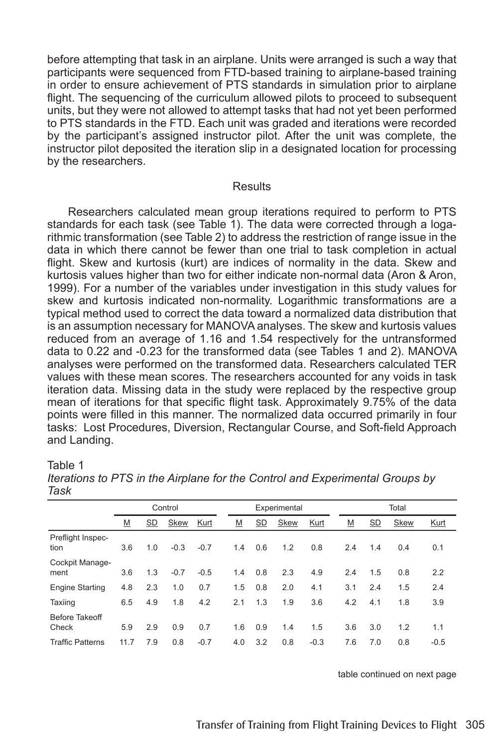before attempting that task in an airplane. Units were arranged is such a way that participants were sequenced from FTD-based training to airplane-based training in order to ensure achievement of PTS standards in simulation prior to airplane flight. The sequencing of the curriculum allowed pilots to proceed to subsequent units, but they were not allowed to attempt tasks that had not yet been performed to PTS standards in the FTD. Each unit was graded and iterations were recorded by the participant's assigned instructor pilot. After the unit was complete, the instructor pilot deposited the iteration slip in a designated location for processing by the researchers.

#### **Results**

Researchers calculated mean group iterations required to perform to PTS standards for each task (see Table 1). The data were corrected through a logarithmic transformation (see Table 2) to address the restriction of range issue in the data in which there cannot be fewer than one trial to task completion in actual flight. Skew and kurtosis (kurt) are indices of normality in the data. Skew and kurtosis values higher than two for either indicate non-normal data (Aron & Aron, 1999). For a number of the variables under investigation in this study values for skew and kurtosis indicated non-normality. Logarithmic transformations are a typical method used to correct the data toward a normalized data distribution that is an assumption necessary for MANOVA analyses. The skew and kurtosis values reduced from an average of 1.16 and 1.54 respectively for the untransformed data to 0.22 and -0.23 for the transformed data (see Tables 1 and 2). MANOVA analyses were performed on the transformed data. Researchers calculated TER values with these mean scores. The researchers accounted for any voids in task iteration data. Missing data in the study were replaced by the respective group mean of iterations for that specific flight task. Approximately 9.75% of the data points were filled in this manner. The normalized data occurred primarily in four tasks: Lost Procedures, Diversion, Rectangular Course, and Soft-field Approach and Landing.

#### Table 1

|                                | Control |     |        |        |     |     | Experimental |        |     | Total     |      |        |  |  |
|--------------------------------|---------|-----|--------|--------|-----|-----|--------------|--------|-----|-----------|------|--------|--|--|
|                                | M       | SD  | Skew   | Kurt   | M   | SD  | Skew         | Kurt   | M   | <u>SD</u> | Skew | Kurt   |  |  |
| Preflight Inspec-<br>tion      | 3.6     | 1.0 | $-0.3$ | $-0.7$ | 1.4 | 0.6 | 1.2          | 0.8    | 2.4 | 1.4       | 0.4  | 0.1    |  |  |
| Cockpit Manage-<br>ment        | 3.6     | 1.3 | $-0.7$ | $-0.5$ | 1.4 | 0.8 | 2.3          | 4.9    | 2.4 | 1.5       | 0.8  | 2.2    |  |  |
| <b>Engine Starting</b>         | 4.8     | 2.3 | 1.0    | 0.7    | 1.5 | 0.8 | 2.0          | 4.1    | 3.1 | 2.4       | 1.5  | 2.4    |  |  |
| Taxiing                        | 6.5     | 4.9 | 1.8    | 4.2    | 2.1 | 1.3 | 1.9          | 3.6    | 4.2 | 4.1       | 1.8  | 3.9    |  |  |
| <b>Before Takeoff</b><br>Check | 5.9     | 2.9 | 0.9    | 0.7    | 1.6 | 0.9 | 1.4          | 1.5    | 3.6 | 3.0       | 1.2  | 1.1    |  |  |
| <b>Traffic Patterns</b>        | 11.7    | 7.9 | 0.8    | $-0.7$ | 4.0 | 3.2 | 0.8          | $-0.3$ | 7.6 | 7.0       | 0.8  | $-0.5$ |  |  |

*Iterations to PTS in the Airplane for the Control and Experimental Groups by Task*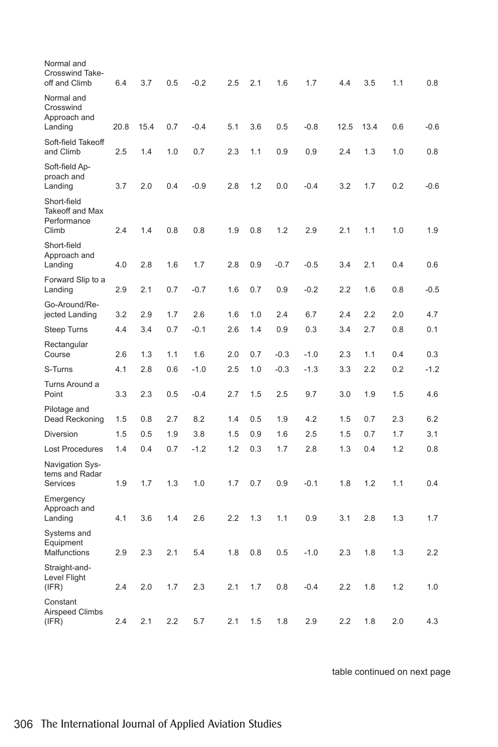| Normal and<br><b>Crosswind Take-</b><br>off and Climb         | 6.4  | 3.7  | 0.5 | $-0.2$ | 2.5 | 2.1 | 1.6    | 1.7    | 4.4  | 3.5  | 1.1 | 0.8    |
|---------------------------------------------------------------|------|------|-----|--------|-----|-----|--------|--------|------|------|-----|--------|
| Normal and<br>Crosswind<br>Approach and<br>Landing            | 20.8 | 15.4 | 0.7 | $-0.4$ | 5.1 | 3.6 | 0.5    | $-0.8$ | 12.5 | 13.4 | 0.6 | $-0.6$ |
| Soft-field Takeoff<br>and Climb                               | 2.5  | 1.4  | 1.0 | 0.7    | 2.3 | 1.1 | 0.9    | 0.9    | 2.4  | 1.3  | 1.0 | 0.8    |
| Soft-field Ap-<br>proach and<br>Landing                       | 3.7  | 2.0  | 0.4 | $-0.9$ | 2.8 | 1.2 | 0.0    | $-0.4$ | 3.2  | 1.7  | 0.2 | $-0.6$ |
| Short-field<br><b>Takeoff and Max</b><br>Performance<br>Climb | 2.4  | 1.4  | 0.8 | 0.8    | 1.9 | 0.8 | 1.2    | 2.9    | 2.1  | 1.1  | 1.0 | 1.9    |
| Short-field<br>Approach and<br>Landing                        | 4.0  | 2.8  | 1.6 | 1.7    | 2.8 | 0.9 | $-0.7$ | $-0.5$ | 3.4  | 2.1  | 0.4 | 0.6    |
| Forward Slip to a<br>Landing                                  | 2.9  | 2.1  | 0.7 | $-0.7$ | 1.6 | 0.7 | 0.9    | $-0.2$ | 2.2  | 1.6  | 0.8 | $-0.5$ |
| Go-Around/Re-<br>jected Landing                               | 3.2  | 2.9  | 1.7 | 2.6    | 1.6 | 1.0 | 2.4    | 6.7    | 2.4  | 2.2  | 2.0 | 4.7    |
| Steep Turns                                                   | 4.4  | 3.4  | 0.7 | $-0.1$ | 2.6 | 1.4 | 0.9    | 0.3    | 3.4  | 2.7  | 0.8 | 0.1    |
| Rectangular<br>Course                                         | 2.6  | 1.3  | 1.1 | 1.6    | 2.0 | 0.7 | $-0.3$ | $-1.0$ | 2.3  | 1.1  | 0.4 | 0.3    |
| S-Turns                                                       | 4.1  | 2.8  | 0.6 | $-1.0$ | 2.5 | 1.0 | $-0.3$ | $-1.3$ | 3.3  | 2.2  | 0.2 | $-1.2$ |
| Turns Around a<br>Point                                       | 3.3  | 2.3  | 0.5 | -0.4   | 2.7 | 1.5 | 2.5    | 9.7    | 3.0  | 1.9  | 1.5 | 4.6    |
| Pilotage and<br>Dead Reckoning                                | 1.5  | 0.8  | 2.7 | 8.2    | 1.4 | 0.5 | 1.9    | 4.2    | 1.5  | 0.7  | 2.3 | 6.2    |
| Diversion                                                     | 1.5  | 0.5  | 1.9 | 3.8    | 1.5 | 0.9 | 1.6    | 2.5    | 1.5  | 0.7  | 1.7 | 3.1    |
| <b>Lost Procedures</b>                                        | 1.4  | 0.4  | 0.7 | $-1.2$ | 1.2 | 0.3 | 1.7    | 2.8    | 1.3  | 0.4  | 1.2 | 0.8    |
| Navigation Sys-<br>tems and Radar<br>Services                 | 1.9  | 1.7  | 1.3 | 1.0    | 1.7 | 0.7 | 0.9    | $-0.1$ | 1.8  | 1.2  | 1.1 | 0.4    |
| Emergency<br>Approach and<br>Landing                          | 4.1  | 3.6  | 1.4 | 2.6    | 2.2 | 1.3 | 1.1    | 0.9    | 3.1  | 2.8  | 1.3 | 1.7    |
| Systems and<br>Equipment<br>Malfunctions                      | 2.9  | 2.3  | 2.1 | 5.4    | 1.8 | 0.8 | 0.5    | $-1.0$ | 2.3  | 1.8  | 1.3 | 2.2    |
| Straight-and-<br>Level Flight<br>(IFR)                        | 2.4  | 2.0  | 1.7 | 2.3    | 2.1 | 1.7 | 0.8    | $-0.4$ | 2.2  | 1.8  | 1.2 | 1.0    |
| Constant<br><b>Airspeed Climbs</b><br>(IFR)                   | 2.4  | 2.1  | 2.2 | 5.7    | 2.1 | 1.5 | 1.8    | 2.9    | 2.2  | 1.8  | 2.0 | 4.3    |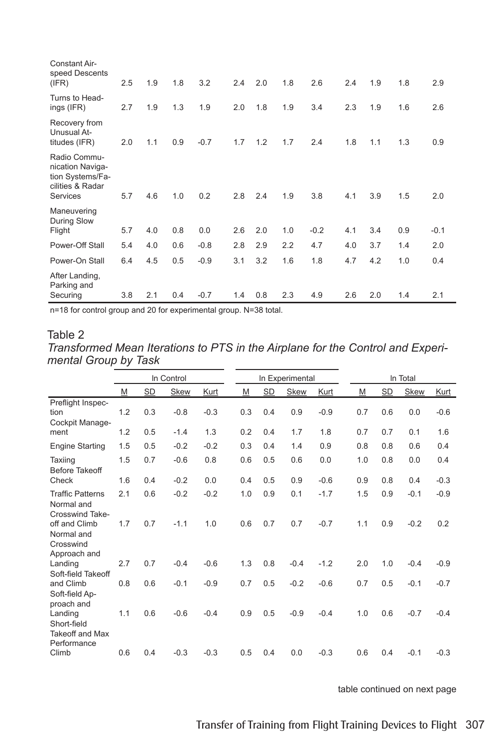| Constant Air-<br>speed Descents<br>(IFR)                                             | 2.5 | 1.9 | 1.8 | 3.2    | 2.4 | 2.0 | 1.8 | 2.6    | 2.4 | 1.9 | 1.8 | 2.9    |
|--------------------------------------------------------------------------------------|-----|-----|-----|--------|-----|-----|-----|--------|-----|-----|-----|--------|
| Turns to Head-<br>ings (IFR)                                                         | 2.7 | 1.9 | 1.3 | 1.9    | 2.0 | 1.8 | 1.9 | 3.4    | 2.3 | 1.9 | 1.6 | 2.6    |
| Recovery from<br>Unusual At-<br>titudes (IFR)                                        | 2.0 | 1.1 | 0.9 | $-0.7$ | 1.7 | 1.2 | 1.7 | 2.4    | 1.8 | 1.1 | 1.3 | 0.9    |
| Radio Commu-<br>nication Naviga-<br>tion Systems/Fa-<br>cilities & Radar<br>Services | 5.7 | 4.6 | 1.0 | 0.2    | 2.8 | 2.4 | 1.9 | 3.8    | 4.1 | 3.9 | 1.5 | 2.0    |
| Maneuvering<br>During Slow<br>Flight                                                 | 5.7 | 4.0 | 0.8 | 0.0    | 2.6 | 2.0 | 1.0 | $-0.2$ | 4.1 | 3.4 | 0.9 | $-0.1$ |
| Power-Off Stall                                                                      | 5.4 | 4.0 | 0.6 | $-0.8$ | 2.8 | 2.9 | 2.2 | 4.7    | 4.0 | 3.7 | 1.4 | 2.0    |
| Power-On Stall                                                                       | 6.4 | 4.5 | 0.5 | $-0.9$ | 3.1 | 3.2 | 1.6 | 1.8    | 4.7 | 4.2 | 1.0 | 0.4    |
| After Landing,<br>Parking and<br>Securing                                            | 3.8 | 2.1 | 0.4 | $-0.7$ | 1.4 | 0.8 | 2.3 | 4.9    | 2.6 | 2.0 | 1.4 | 2.1    |

n=18 for control group and 20 for experimental group. N=38 total.

#### Table 2

*Transformed Mean Iterations to PTS in the Airplane for the Control and Experimental Group by Task*

|                                                                 |     |           | In Control  |        |     |           | In Experimental |        |     | In Total |           |             |             |
|-----------------------------------------------------------------|-----|-----------|-------------|--------|-----|-----------|-----------------|--------|-----|----------|-----------|-------------|-------------|
|                                                                 | M   | <b>SD</b> | <b>Skew</b> | Kurt   | M   | <b>SD</b> | <b>Skew</b>     | Kurt   | M   |          | <b>SD</b> | <b>Skew</b> | <u>Kurt</u> |
| Preflight Inspec-<br>tion<br>Cockpit Manage-                    | 1.2 | 0.3       | $-0.8$      | $-0.3$ | 0.3 | 0.4       | 0.9             | $-0.9$ | 0.7 |          | 0.6       | 0.0         | $-0.6$      |
| ment                                                            | 1.2 | 0.5       | $-1.4$      | 1.3    | 0.2 | 0.4       | 1.7             | 1.8    | 0.7 |          | 0.7       | 0.1         | 1.6         |
| <b>Engine Starting</b>                                          | 1.5 | 0.5       | $-0.2$      | $-0.2$ | 0.3 | 0.4       | 1.4             | 0.9    | 0.8 |          | 0.8       | 0.6         | 0.4         |
| Taxiing<br><b>Before Takeoff</b>                                | 1.5 | 0.7       | $-0.6$      | 0.8    | 0.6 | 0.5       | 0.6             | 0.0    | 1.0 |          | 0.8       | 0.0         | 0.4         |
| Check                                                           | 1.6 | 0.4       | $-0.2$      | 0.0    | 0.4 | 0.5       | 0.9             | $-0.6$ | 0.9 |          | 0.8       | 0.4         | $-0.3$      |
| <b>Traffic Patterns</b><br>Normal and<br>Crosswind Take-        | 2.1 | 0.6       | $-0.2$      | $-0.2$ | 1.0 | 0.9       | 0.1             | $-1.7$ | 1.5 |          | 0.9       | $-0.1$      | $-0.9$      |
| off and Climb<br>Normal and<br>Crosswind<br>Approach and        | 1.7 | 0.7       | $-1.1$      | 1.0    | 0.6 | 0.7       | 0.7             | $-0.7$ | 1.1 |          | 0.9       | $-0.2$      | 0.2         |
| Landing<br>Soft-field Takeoff                                   | 2.7 | 0.7       | $-0.4$      | $-0.6$ | 1.3 | 0.8       | $-0.4$          | $-1.2$ | 2.0 |          | 1.0       | $-0.4$      | $-0.9$      |
| and Climb<br>Soft-field Ap-<br>proach and                       | 0.8 | 0.6       | $-0.1$      | $-0.9$ | 0.7 | 0.5       | $-0.2$          | $-0.6$ | 0.7 |          | 0.5       | $-0.1$      | $-0.7$      |
| Landing<br>Short-field<br><b>Takeoff and Max</b><br>Performance | 1.1 | 0.6       | $-0.6$      | $-0.4$ | 0.9 | 0.5       | $-0.9$          | $-0.4$ | 1.0 |          | 0.6       | $-0.7$      | $-0.4$      |
| Climb                                                           | 0.6 | 0.4       | $-0.3$      | $-0.3$ | 0.5 | 0.4       | 0.0             | $-0.3$ | 0.6 |          | 0.4       | $-0.1$      | $-0.3$      |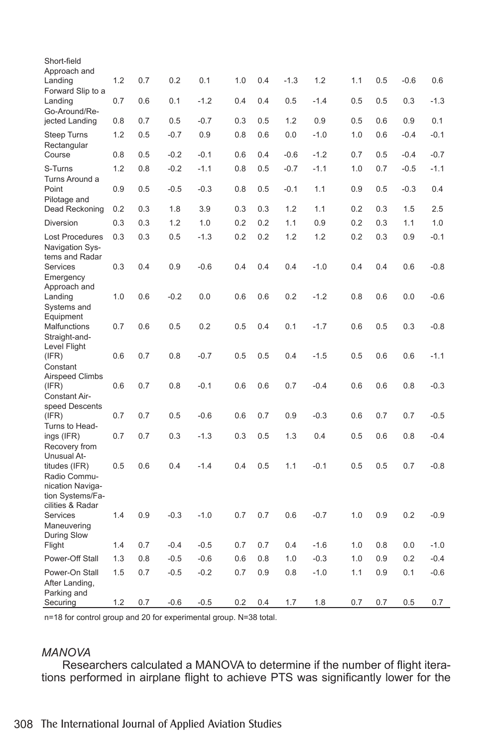| Short-field                                              |     |     |        |        |     |     |        |        |     |     |        |        |
|----------------------------------------------------------|-----|-----|--------|--------|-----|-----|--------|--------|-----|-----|--------|--------|
| Approach and<br>Landing<br>Forward Slip to a             | 1.2 | 0.7 | 0.2    | 0.1    | 1.0 | 0.4 | $-1.3$ | 1.2    | 1.1 | 0.5 | $-0.6$ | 0.6    |
| Landing<br>Go-Around/Re-                                 | 0.7 | 0.6 | 0.1    | $-1.2$ | 0.4 | 0.4 | 0.5    | $-1.4$ | 0.5 | 0.5 | 0.3    | $-1.3$ |
| jected Landing                                           | 0.8 | 0.7 | 0.5    | $-0.7$ | 0.3 | 0.5 | 1.2    | 0.9    | 0.5 | 0.6 | 0.9    | 0.1    |
| Steep Turns<br>Rectangular                               | 1.2 | 0.5 | $-0.7$ | 0.9    | 0.8 | 0.6 | 0.0    | $-1.0$ | 1.0 | 0.6 | $-0.4$ | $-0.1$ |
| Course                                                   | 0.8 | 0.5 | $-0.2$ | $-0.1$ | 0.6 | 0.4 | $-0.6$ | $-1.2$ | 0.7 | 0.5 | $-0.4$ | $-0.7$ |
| S-Turns<br>Turns Around a                                | 1.2 | 0.8 | $-0.2$ | $-1.1$ | 0.8 | 0.5 | $-0.7$ | $-1.1$ | 1.0 | 0.7 | $-0.5$ | $-1.1$ |
| Point<br>Pilotage and                                    | 0.9 | 0.5 | $-0.5$ | $-0.3$ | 0.8 | 0.5 | $-0.1$ | 1.1    | 0.9 | 0.5 | $-0.3$ | 0.4    |
| Dead Reckoning                                           | 0.2 | 0.3 | 1.8    | 3.9    | 0.3 | 0.3 | 1.2    | 1.1    | 0.2 | 0.3 | 1.5    | 2.5    |
| Diversion                                                | 0.3 | 0.3 | 1.2    | 1.0    | 0.2 | 0.2 | 1.1    | 0.9    | 0.2 | 0.3 | 1.1    | 1.0    |
| Lost Procedures<br>Navigation Sys-<br>tems and Radar     | 0.3 | 0.3 | 0.5    | $-1.3$ | 0.2 | 0.2 | 1.2    | 1.2    | 0.2 | 0.3 | 0.9    | $-0.1$ |
| Services<br>Emergency<br>Approach and                    | 0.3 | 0.4 | 0.9    | $-0.6$ | 0.4 | 0.4 | 0.4    | $-1.0$ | 0.4 | 0.4 | 0.6    | $-0.8$ |
| Landing<br>Systems and                                   | 1.0 | 0.6 | $-0.2$ | 0.0    | 0.6 | 0.6 | 0.2    | $-1.2$ | 0.8 | 0.6 | 0.0    | $-0.6$ |
| Equipment<br>Malfunctions<br>Straight-and-               | 0.7 | 0.6 | 0.5    | 0.2    | 0.5 | 0.4 | 0.1    | $-1.7$ | 0.6 | 0.5 | 0.3    | $-0.8$ |
| Level Flight<br>(IFR)<br>Constant                        | 0.6 | 0.7 | 0.8    | $-0.7$ | 0.5 | 0.5 | 0.4    | $-1.5$ | 0.5 | 0.6 | 0.6    | $-1.1$ |
| <b>Airspeed Climbs</b><br>(IFR)<br><b>Constant Air-</b>  | 0.6 | 0.7 | 0.8    | $-0.1$ | 0.6 | 0.6 | 0.7    | $-0.4$ | 0.6 | 0.6 | 0.8    | $-0.3$ |
| speed Descents<br>(IFR)                                  | 0.7 | 0.7 | 0.5    | $-0.6$ | 0.6 | 0.7 | 0.9    | $-0.3$ | 0.6 | 0.7 | 0.7    | $-0.5$ |
| Turns to Head-<br>ings (IFR)<br>Recovery from            | 0.7 | 0.7 | 0.3    | $-1.3$ | 0.3 | 0.5 | 1.3    | 0.4    | 0.5 | 0.6 | 0.8    | $-0.4$ |
| Unusual At-<br>titudes (IFR)<br>Radio Commu-             | 0.5 | 0.6 | 0.4    | $-1.4$ | 0.4 | 0.5 | 1.1    | $-0.1$ | 0.5 | 0.5 | 0.7    | $-0.8$ |
| nication Naviga-<br>tion Systems/Fa-<br>cilities & Radar |     |     |        |        |     |     |        |        |     |     |        |        |
| Services<br>Maneuvering                                  | 1.4 | 0.9 | $-0.3$ | $-1.0$ | 0.7 | 0.7 | 0.6    | $-0.7$ | 1.0 | 0.9 | 0.2    | $-0.9$ |
| During Slow<br>Flight                                    | 1.4 | 0.7 | $-0.4$ | $-0.5$ | 0.7 | 0.7 | 0.4    | $-1.6$ | 1.0 | 0.8 | 0.0    | $-1.0$ |
| Power-Off Stall                                          | 1.3 | 0.8 | $-0.5$ | $-0.6$ | 0.6 | 0.8 | 1.0    | $-0.3$ | 1.0 | 0.9 | 0.2    | $-0.4$ |
| Power-On Stall                                           | 1.5 | 0.7 | $-0.5$ | $-0.2$ | 0.7 | 0.9 | 0.8    | $-1.0$ | 1.1 | 0.9 | 0.1    | $-0.6$ |
| After Landing,<br>Parking and                            |     |     |        |        |     |     |        |        |     |     |        |        |
| Securing                                                 | 1.2 | 0.7 | $-0.6$ | $-0.5$ | 0.2 | 0.4 | 1.7    | 1.8    | 0.7 | 0.7 | 0.5    | 0.7    |

n=18 for control group and 20 for experimental group. N=38 total.

#### *MANOVA*

Researchers calculated a MANOVA to determine if the number of flight iterations performed in airplane flight to achieve PTS was significantly lower for the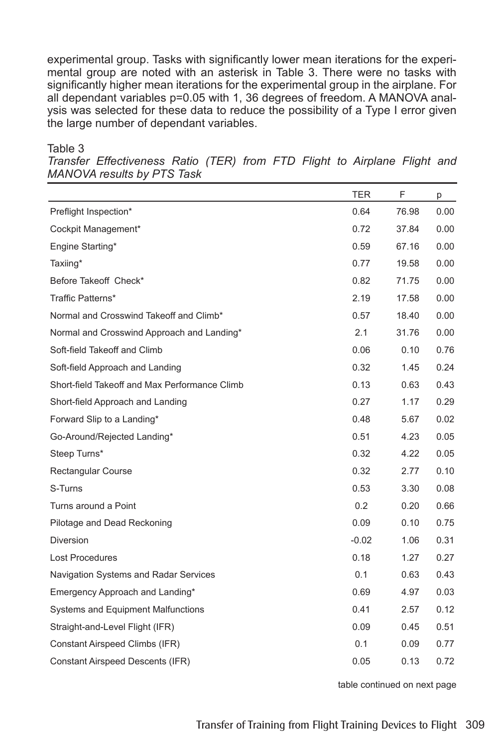experimental group. Tasks with significantly lower mean iterations for the experimental group are noted with an asterisk in Table 3. There were no tasks with significantly higher mean iterations for the experimental group in the airplane. For all dependant variables p=0.05 with 1, 36 degrees of freedom. A MANOVA analysis was selected for these data to reduce the possibility of a Type I error given the large number of dependant variables.

Table 3

*Transfer Effectiveness Ratio (TER) from FTD Flight to Airplane Flight and MANOVA results by PTS Task*

|                                               | <b>TER</b> | F     | р    |
|-----------------------------------------------|------------|-------|------|
| Preflight Inspection*                         | 0.64       | 76.98 | 0.00 |
| Cockpit Management*                           | 0.72       | 37.84 | 0.00 |
| Engine Starting*                              | 0.59       | 67.16 | 0.00 |
| Taxiing*                                      | 0.77       | 19.58 | 0.00 |
| Before Takeoff Check*                         | 0.82       | 71.75 | 0.00 |
| Traffic Patterns*                             | 2.19       | 17.58 | 0.00 |
| Normal and Crosswind Takeoff and Climb*       | 0.57       | 18.40 | 0.00 |
| Normal and Crosswind Approach and Landing*    | 2.1        | 31.76 | 0.00 |
| Soft-field Takeoff and Climb                  | 0.06       | 0.10  | 0.76 |
| Soft-field Approach and Landing               | 0.32       | 1.45  | 0.24 |
| Short-field Takeoff and Max Performance Climb | 0.13       | 0.63  | 0.43 |
| Short-field Approach and Landing              | 0.27       | 1.17  | 0.29 |
| Forward Slip to a Landing*                    | 0.48       | 5.67  | 0.02 |
| Go-Around/Rejected Landing*                   | 0.51       | 4.23  | 0.05 |
| Steep Turns*                                  | 0.32       | 4.22  | 0.05 |
| <b>Rectangular Course</b>                     | 0.32       | 2.77  | 0.10 |
| S-Turns                                       | 0.53       | 3.30  | 0.08 |
| Turns around a Point                          | 0.2        | 0.20  | 0.66 |
| Pilotage and Dead Reckoning                   | 0.09       | 0.10  | 0.75 |
| <b>Diversion</b>                              | $-0.02$    | 1.06  | 0.31 |
| Lost Procedures                               | 0.18       | 1.27  | 0.27 |
| Navigation Systems and Radar Services         | 0.1        | 0.63  | 0.43 |
| Emergency Approach and Landing*               | 0.69       | 4.97  | 0.03 |
| <b>Systems and Equipment Malfunctions</b>     | 0.41       | 2.57  | 0.12 |
| Straight-and-Level Flight (IFR)               | 0.09       | 0.45  | 0.51 |
| Constant Airspeed Climbs (IFR)                | 0.1        | 0.09  | 0.77 |
| <b>Constant Airspeed Descents (IFR)</b>       | 0.05       | 0.13  | 0.72 |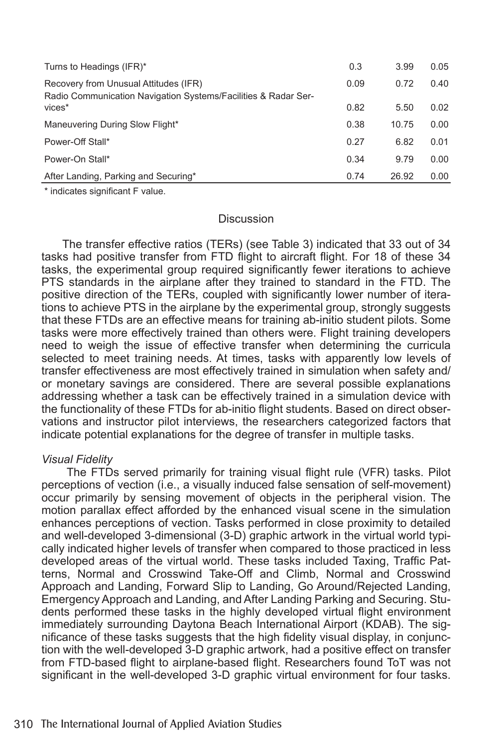| Turns to Headings (IFR)*                                                                                | 0.3  | 3.99  | 0.05 |
|---------------------------------------------------------------------------------------------------------|------|-------|------|
| Recovery from Unusual Attitudes (IFR)<br>Radio Communication Navigation Systems/Facilities & Radar Ser- | 0.09 | 0.72  | 0.40 |
| vices*                                                                                                  | 0.82 | 5.50  | 0.02 |
| Maneuvering During Slow Flight*                                                                         | 0.38 | 10.75 | 0.00 |
| Power-Off Stall*                                                                                        | 0.27 | 6.82  | 0.01 |
| Power-On Stall*                                                                                         | 0.34 | 9.79  | 0.00 |
| After Landing, Parking and Securing*                                                                    | 0.74 | 26.92 | 0.00 |

\* indicates significant F value.

#### **Discussion**

The transfer effective ratios (TERs) (see Table 3) indicated that 33 out of 34 tasks had positive transfer from FTD flight to aircraft flight. For 18 of these 34 tasks, the experimental group required significantly fewer iterations to achieve PTS standards in the airplane after they trained to standard in the FTD. The positive direction of the TERs, coupled with significantly lower number of iterations to achieve PTS in the airplane by the experimental group, strongly suggests that these FTDs are an effective means for training ab-initio student pilots. Some tasks were more effectively trained than others were. Flight training developers need to weigh the issue of effective transfer when determining the curricula selected to meet training needs. At times, tasks with apparently low levels of transfer effectiveness are most effectively trained in simulation when safety and/ or monetary savings are considered. There are several possible explanations addressing whether a task can be effectively trained in a simulation device with the functionality of these FTDs for ab-initio flight students. Based on direct observations and instructor pilot interviews, the researchers categorized factors that indicate potential explanations for the degree of transfer in multiple tasks.

#### *Visual Fidelity*

 The FTDs served primarily for training visual flight rule (VFR) tasks. Pilot perceptions of vection (i.e., a visually induced false sensation of self-movement) occur primarily by sensing movement of objects in the peripheral vision. The motion parallax effect afforded by the enhanced visual scene in the simulation enhances perceptions of vection. Tasks performed in close proximity to detailed and well-developed 3-dimensional (3-D) graphic artwork in the virtual world typically indicated higher levels of transfer when compared to those practiced in less developed areas of the virtual world. These tasks included Taxing, Traffic Patterns, Normal and Crosswind Take-Off and Climb, Normal and Crosswind Approach and Landing, Forward Slip to Landing, Go Around/Rejected Landing, Emergency Approach and Landing, and After Landing Parking and Securing. Students performed these tasks in the highly developed virtual flight environment immediately surrounding Daytona Beach International Airport (KDAB). The significance of these tasks suggests that the high fidelity visual display, in conjunction with the well-developed 3-D graphic artwork, had a positive effect on transfer from FTD-based flight to airplane-based flight. Researchers found ToT was not significant in the well-developed 3-D graphic virtual environment for four tasks.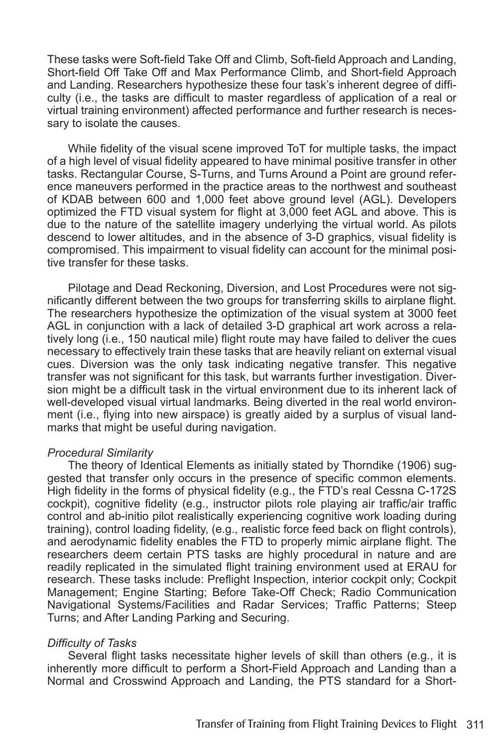These tasks were Soft-field Take Off and Climb, Soft-field Approach and Landing, Short-field Off Take Off and Max Performance Climb, and Short-field Approach and Landing. Researchers hypothesize these four task's inherent degree of difficulty (i.e., the tasks are difficult to master regardless of application of a real or virtual training environment) affected performance and further research is necessary to isolate the causes.

While fidelity of the visual scene improved ToT for multiple tasks, the impact of a high level of visual fidelity appeared to have minimal positive transfer in other tasks. Rectangular Course, S-Turns, and Turns Around a Point are ground reference maneuvers performed in the practice areas to the northwest and southeast of KDAB between 600 and 1,000 feet above ground level (AGL). Developers optimized the FTD visual system for flight at 3,000 feet AGL and above. This is due to the nature of the satellite imagery underlying the virtual world. As pilots descend to lower altitudes, and in the absence of 3-D graphics, visual fidelity is compromised. This impairment to visual fidelity can account for the minimal positive transfer for these tasks.

Pilotage and Dead Reckoning, Diversion, and Lost Procedures were not significantly different between the two groups for transferring skills to airplane flight. The researchers hypothesize the optimization of the visual system at 3000 feet AGL in conjunction with a lack of detailed 3-D graphical art work across a relatively long (i.e., 150 nautical mile) flight route may have failed to deliver the cues necessary to effectively train these tasks that are heavily reliant on external visual cues. Diversion was the only task indicating negative transfer. This negative transfer was not significant for this task, but warrants further investigation. Diversion might be a difficult task in the virtual environment due to its inherent lack of well-developed visual virtual landmarks. Being diverted in the real world environment (i.e., flying into new airspace) is greatly aided by a surplus of visual landmarks that might be useful during navigation.

#### *Procedural Similarity*

The theory of Identical Elements as initially stated by Thorndike (1906) suggested that transfer only occurs in the presence of specific common elements. High fidelity in the forms of physical fidelity (e.g., the FTD's real Cessna C-172S cockpit), cognitive fidelity (e.g., instructor pilots role playing air traffic/air traffic control and ab-initio pilot realistically experiencing cognitive work loading during training), control loading fidelity, (e.g., realistic force feed back on flight controls), and aerodynamic fidelity enables the FTD to properly mimic airplane flight. The researchers deem certain PTS tasks are highly procedural in nature and are readily replicated in the simulated flight training environment used at ERAU for research. These tasks include: Preflight Inspection, interior cockpit only; Cockpit Management; Engine Starting; Before Take-Off Check; Radio Communication Navigational Systems/Facilities and Radar Services; Traffic Patterns; Steep Turns; and After Landing Parking and Securing.

#### *Difficulty of Tasks*

Several flight tasks necessitate higher levels of skill than others (e.g., it is inherently more difficult to perform a Short-Field Approach and Landing than a Normal and Crosswind Approach and Landing, the PTS standard for a Short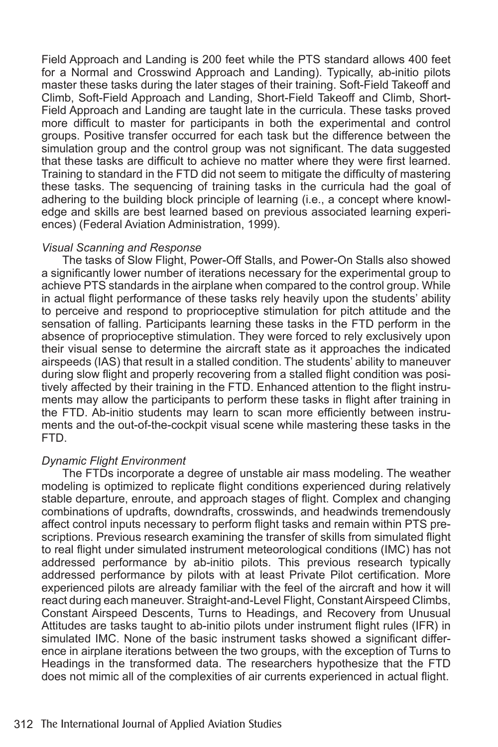Field Approach and Landing is 200 feet while the PTS standard allows 400 feet for a Normal and Crosswind Approach and Landing). Typically, ab-initio pilots master these tasks during the later stages of their training. Soft-Field Takeoff and Climb, Soft-Field Approach and Landing, Short-Field Takeoff and Climb, Short-Field Approach and Landing are taught late in the curricula. These tasks proved more difficult to master for participants in both the experimental and control groups. Positive transfer occurred for each task but the difference between the simulation group and the control group was not significant. The data suggested that these tasks are difficult to achieve no matter where they were first learned. Training to standard in the FTD did not seem to mitigate the difficulty of mastering these tasks. The sequencing of training tasks in the curricula had the goal of adhering to the building block principle of learning (i.e., a concept where knowledge and skills are best learned based on previous associated learning experiences) (Federal Aviation Administration, 1999).

#### *Visual Scanning and Response*

The tasks of Slow Flight, Power-Off Stalls, and Power-On Stalls also showed a significantly lower number of iterations necessary for the experimental group to achieve PTS standards in the airplane when compared to the control group. While in actual flight performance of these tasks rely heavily upon the students' ability to perceive and respond to proprioceptive stimulation for pitch attitude and the sensation of falling. Participants learning these tasks in the FTD perform in the absence of proprioceptive stimulation. They were forced to rely exclusively upon their visual sense to determine the aircraft state as it approaches the indicated airspeeds (IAS) that result in a stalled condition. The students' ability to maneuver during slow flight and properly recovering from a stalled flight condition was positively affected by their training in the FTD. Enhanced attention to the flight instruments may allow the participants to perform these tasks in flight after training in the FTD. Ab-initio students may learn to scan more efficiently between instruments and the out-of-the-cockpit visual scene while mastering these tasks in the FTD.

#### *Dynamic Flight Environment*

The FTDs incorporate a degree of unstable air mass modeling. The weather modeling is optimized to replicate flight conditions experienced during relatively stable departure, enroute, and approach stages of flight. Complex and changing combinations of updrafts, downdrafts, crosswinds, and headwinds tremendously affect control inputs necessary to perform flight tasks and remain within PTS prescriptions. Previous research examining the transfer of skills from simulated flight to real flight under simulated instrument meteorological conditions (IMC) has not addressed performance by ab-initio pilots. This previous research typically addressed performance by pilots with at least Private Pilot certification. More experienced pilots are already familiar with the feel of the aircraft and how it will react during each maneuver. Straight-and-Level Flight, Constant Airspeed Climbs, Constant Airspeed Descents, Turns to Headings, and Recovery from Unusual Attitudes are tasks taught to ab-initio pilots under instrument flight rules (IFR) in simulated IMC. None of the basic instrument tasks showed a significant difference in airplane iterations between the two groups, with the exception of Turns to Headings in the transformed data. The researchers hypothesize that the FTD does not mimic all of the complexities of air currents experienced in actual flight.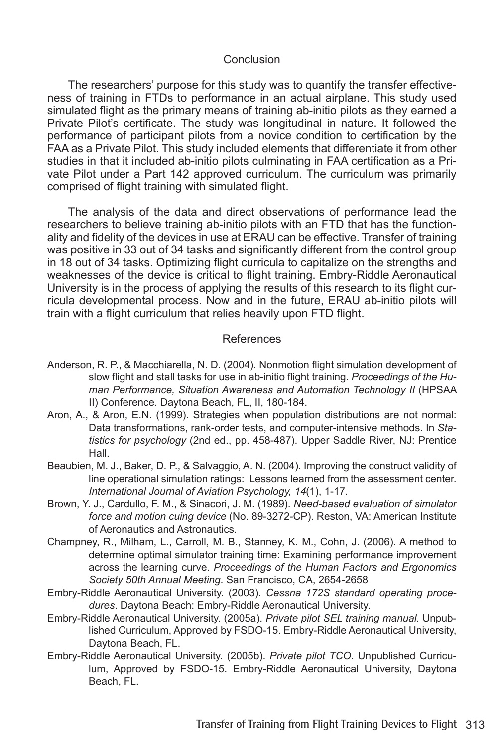#### Conclusion

The researchers' purpose for this study was to quantify the transfer effectiveness of training in FTDs to performance in an actual airplane. This study used simulated flight as the primary means of training ab-initio pilots as they earned a Private Pilot's certificate. The study was longitudinal in nature. It followed the performance of participant pilots from a novice condition to certification by the FAA as a Private Pilot. This study included elements that differentiate it from other studies in that it included ab-initio pilots culminating in FAA certification as a Private Pilot under a Part 142 approved curriculum. The curriculum was primarily comprised of flight training with simulated flight.

The analysis of the data and direct observations of performance lead the researchers to believe training ab-initio pilots with an FTD that has the functionality and fidelity of the devices in use at ERAU can be effective. Transfer of training was positive in 33 out of 34 tasks and significantly different from the control group in 18 out of 34 tasks. Optimizing flight curricula to capitalize on the strengths and weaknesses of the device is critical to flight training. Embry-Riddle Aeronautical University is in the process of applying the results of this research to its flight curricula developmental process. Now and in the future, ERAU ab-initio pilots will train with a flight curriculum that relies heavily upon FTD flight.

#### References

- Anderson, R. P., & Macchiarella, N. D. (2004). Nonmotion flight simulation development of slow flight and stall tasks for use in ab-initio flight training. *Proceedings of the Human Performance, Situation Awareness and Automation Technology II (HPSAA* II) Conference. Daytona Beach, FL, II, 180-184.
- Aron, A., & Aron, E.N. (1999). Strategies when population distributions are not normal: Data transformations, rank-order tests, and computer-intensive methods. In *Statistics for psychology* (2nd ed., pp. 458-487). Upper Saddle River, NJ: Prentice Hall.
- Beaubien, M. J., Baker, D. P., & Salvaggio, A. N. (2004). Improving the construct validity of line operational simulation ratings: Lessons learned from the assessment center. *International Journal of Aviation Psychology, 14*(1), 1-17.
- Brown, Y. J., Cardullo, F. M., & Sinacori, J. M. (1989). *Need-based evaluation of simulator force and motion cuing device* (No. 89-3272-CP). Reston, VA: American Institute of Aeronautics and Astronautics.
- Champney, R., Milham, L., Carroll, M. B., Stanney, K. M., Cohn, J. (2006). A method to determine optimal simulator training time: Examining performance improvement across the learning curve. *Proceedings of the Human Factors and Ergonomics Society 50th Annual Meeting*. San Francisco, CA, 2654-2658
- Embry-Riddle Aeronautical University. (2003). *Cessna 172S standard operating procedures*. Daytona Beach: Embry-Riddle Aeronautical University.
- Embry-Riddle Aeronautical University. (2005a). *Private pilot SEL training manual.* Unpublished Curriculum, Approved by FSDO-15. Embry-Riddle Aeronautical University, Daytona Beach, FL.
- Embry-Riddle Aeronautical University. (2005b). *Private pilot TCO.* Unpublished Curriculum, Approved by FSDO-15. Embry-Riddle Aeronautical University, Daytona Beach, FL.